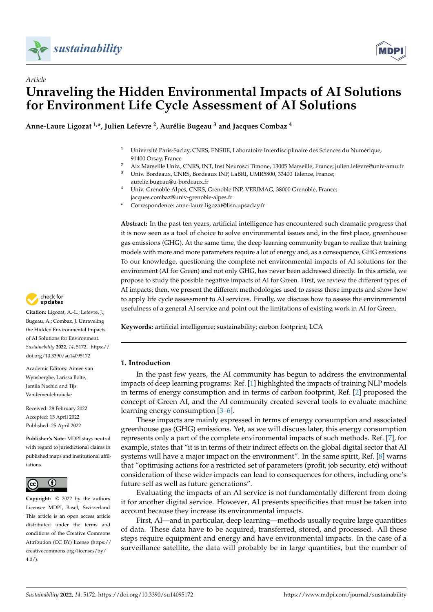



# *Article* **Unraveling the Hidden Environmental Impacts of AI Solutions for Environment Life Cycle Assessment of AI Solutions**

**Anne-Laure Ligozat 1,\*, Julien Lefevre <sup>2</sup> , Aurélie Bugeau <sup>3</sup> and Jacques Combaz <sup>4</sup>**

- <sup>1</sup> Université Paris-Saclay, CNRS, ENSIIE, Laboratoire Interdisciplinaire des Sciences du Numérique, 91400 Orsay, France
- <sup>2</sup> Aix Marseille Univ., CNRS, INT, Inst Neurosci Timone, 13005 Marseille, France; julien.lefevre@univ-amu.fr<br><sup>3</sup> Universation CNBS, Bandarum NB LaBBLUMB5000, 22400 Talance, France;
- <sup>3</sup> Univ. Bordeaux, CNRS, Bordeaux INP, LaBRI, UMR5800, 33400 Talence, France; aurelie.bugeau@u-bordeaux.fr
- <sup>4</sup> Univ. Grenoble Alpes, CNRS, Grenoble INP, VERIMAG, 38000 Grenoble, France; jacques.combaz@univ-grenoble-alpes.fr
- **\*** Correspondence: anne-laure.ligozat@lisn.upsaclay.fr

**Abstract:** In the past ten years, artificial intelligence has encountered such dramatic progress that it is now seen as a tool of choice to solve environmental issues and, in the first place, greenhouse gas emissions (GHG). At the same time, the deep learning community began to realize that training models with more and more parameters require a lot of energy and, as a consequence, GHG emissions. To our knowledge, questioning the complete net environmental impacts of AI solutions for the environment (AI for Green) and not only GHG, has never been addressed directly. In this article, we propose to study the possible negative impacts of AI for Green. First, we review the different types of AI impacts; then, we present the different methodologies used to assess those impacts and show how to apply life cycle assessment to AI services. Finally, we discuss how to assess the environmental usefulness of a general AI service and point out the limitations of existing work in AI for Green.

**Keywords:** artificial intelligence; sustainability; carbon footprint; LCA

## **1. Introduction**

In the past few years, the AI community has begun to address the environmental impacts of deep learning programs: Ref. [\[1\]](#page-11-0) highlighted the impacts of training NLP models in terms of energy consumption and in terms of carbon footprint, Ref. [\[2\]](#page-11-1) proposed the concept of Green AI, and the AI community created several tools to evaluate machine learning energy consumption [\[3](#page-12-0)[–6\]](#page-12-1).

These impacts are mainly expressed in terms of energy consumption and associated greenhouse gas (GHG) emissions. Yet, as we will discuss later, this energy consumption represents only a part of the complete environmental impacts of such methods. Ref. [\[7\]](#page-12-2), for example, states that "it is in terms of their indirect effects on the global digital sector that AI systems will have a major impact on the environment". In the same spirit, Ref. [\[8\]](#page-12-3) warns that "optimising actions for a restricted set of parameters (profit, job security, etc) without consideration of these wider impacts can lead to consequences for others, including one's future self as well as future generations".

Evaluating the impacts of an AI service is not fundamentally different from doing it for another digital service. However, AI presents specificities that must be taken into account because they increase its environmental impacts.

First, AI—and in particular, deep learning—methods usually require large quantities of data. These data have to be acquired, transferred, stored, and processed. All these steps require equipment and energy and have environmental impacts. In the case of a surveillance satellite, the data will probably be in large quantities, but the number of



**Citation:** Ligozat, A.-L.; Lefevre, J.; Bugeau, A.; Combaz, J. Unraveling the Hidden Environmental Impacts of AI Solutions for Environment. *Sustainability* **2022**, *14*, 5172. [https://](https://doi.org/10.3390/su14095172) [doi.org/10.3390/su14095172](https://doi.org/10.3390/su14095172)

Academic Editors: Aimee van Wynsberghe, Larissa Bolte, Jamila Nachid and Tijs Vandemeulebroucke

Received: 28 February 2022 Accepted: 15 April 2022 Published: 25 April 2022

**Publisher's Note:** MDPI stays neutral with regard to jurisdictional claims in published maps and institutional affiliations.



**Copyright:** © 2022 by the authors. Licensee MDPI, Basel, Switzerland. This article is an open access article distributed under the terms and conditions of the Creative Commons Attribution (CC BY) license [\(https://](https://creativecommons.org/licenses/by/4.0/) [creativecommons.org/licenses/by/](https://creativecommons.org/licenses/by/4.0/)  $4.0/$ ).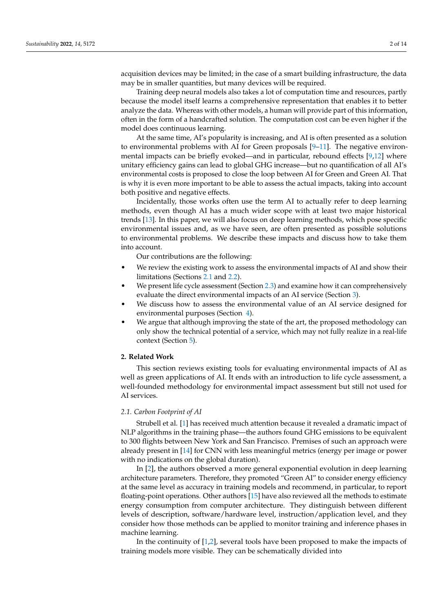acquisition devices may be limited; in the case of a smart building infrastructure, the data may be in smaller quantities, but many devices will be required.

Training deep neural models also takes a lot of computation time and resources, partly because the model itself learns a comprehensive representation that enables it to better analyze the data. Whereas with other models, a human will provide part of this information, often in the form of a handcrafted solution. The computation cost can be even higher if the model does continuous learning.

At the same time, AI's popularity is increasing, and AI is often presented as a solution to environmental problems with AI for Green proposals [\[9](#page-12-4)[–11\]](#page-12-5). The negative environmental impacts can be briefly evoked—and in particular, rebound effects [\[9,](#page-12-4)[12\]](#page-12-6) where unitary efficiency gains can lead to global GHG increase—but no quantification of all AI's environmental costs is proposed to close the loop between AI for Green and Green AI. That is why it is even more important to be able to assess the actual impacts, taking into account both positive and negative effects.

Incidentally, those works often use the term AI to actually refer to deep learning methods, even though AI has a much wider scope with at least two major historical trends [\[13\]](#page-12-7). In this paper, we will also focus on deep learning methods, which pose specific environmental issues and, as we have seen, are often presented as possible solutions to environmental problems. We describe these impacts and discuss how to take them into account.

Our contributions are the following:

- We review the existing work to assess the environmental impacts of AI and show their limitations (Sections [2.1](#page-1-0) and [2.2\)](#page-2-0).
- We present life cycle assessment (Section [2.3\)](#page-2-1) and examine how it can comprehensively evaluate the direct environmental impacts of an AI service (Section [3\)](#page-3-0).
- We discuss how to assess the environmental value of an AI service designed for environmental purposes (Section [4\)](#page-7-0).
- We argue that although improving the state of the art, the proposed methodology can only show the technical potential of a service, which may not fully realize in a real-life context (Section [5\)](#page-10-0).

## **2. Related Work**

This section reviews existing tools for evaluating environmental impacts of AI as well as green applications of AI. It ends with an introduction to life cycle assessment, a well-founded methodology for environmental impact assessment but still not used for AI services.

## <span id="page-1-0"></span>*2.1. Carbon Footprint of AI*

Strubell et al. [\[1\]](#page-11-0) has received much attention because it revealed a dramatic impact of NLP algorithms in the training phase—the authors found GHG emissions to be equivalent to 300 flights between New York and San Francisco. Premises of such an approach were already present in [\[14\]](#page-12-8) for CNN with less meaningful metrics (energy per image or power with no indications on the global duration).

In [\[2\]](#page-11-1), the authors observed a more general exponential evolution in deep learning architecture parameters. Therefore, they promoted "Green AI" to consider energy efficiency at the same level as accuracy in training models and recommend, in particular, to report floating-point operations. Other authors [\[15\]](#page-12-9) have also reviewed all the methods to estimate energy consumption from computer architecture. They distinguish between different levels of description, software/hardware level, instruction/application level, and they consider how those methods can be applied to monitor training and inference phases in machine learning.

In the continuity of  $[1,2]$  $[1,2]$ , several tools have been proposed to make the impacts of training models more visible. They can be schematically divided into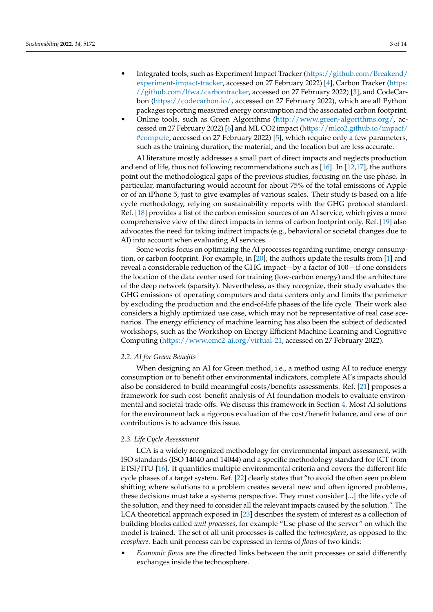- Integrated tools, such as Experiment Impact Tracker [\(https://github.com/Breakend/](https://github.com/Breakend/experiment-impact-tracker) [experiment-impact-tracker,](https://github.com/Breakend/experiment-impact-tracker) accessed on 27 February 2022) [\[4\]](#page-12-10), Carbon Tracker [\(https:](https://github.com/lfwa/carbontracker) [//github.com/lfwa/carbontracker,](https://github.com/lfwa/carbontracker) accessed on 27 February 2022) [\[3\]](#page-12-0), and CodeCarbon [\(https://codecarbon.io/,](https://codecarbon.io/) accessed on 27 February 2022), which are all Python packages reporting measured energy consumption and the associated carbon footprint.
- Online tools, such as Green Algorithms [\(http://www.green-algorithms.org/,](http://www.green-algorithms.org/) accessed on 27 February 2022) [\[6\]](#page-12-1) and ML CO2 impact [\(https://mlco2.github.io/impact/](https://mlco2.github.io/impact/#compute) [#compute,](https://mlco2.github.io/impact/#compute) accessed on 27 February 2022) [\[5\]](#page-12-11), which require only a few parameters, such as the training duration, the material, and the location but are less accurate.

AI literature mostly addresses a small part of direct impacts and neglects production and end of life, thus not following recommendations such as [\[16\]](#page-12-12). In [\[12](#page-12-6)[,17\]](#page-12-13), the authors point out the methodological gaps of the previous studies, focusing on the use phase. In particular, manufacturing would account for about 75% of the total emissions of Apple or of an iPhone 5, just to give examples of various scales. Their study is based on a life cycle methodology, relying on sustainability reports with the GHG protocol standard. Ref. [\[18\]](#page-12-14) provides a list of the carbon emission sources of an AI service, which gives a more comprehensive view of the direct impacts in terms of carbon footprint only. Ref. [\[19\]](#page-12-15) also advocates the need for taking indirect impacts (e.g., behavioral or societal changes due to AI) into account when evaluating AI services.

Some works focus on optimizing the AI processes regarding runtime, energy consumption, or carbon footprint. For example, in [\[20\]](#page-12-16), the authors update the results from [\[1\]](#page-11-0) and reveal a considerable reduction of the GHG impact—by a factor of 100—if one considers the location of the data center used for training (low-carbon energy) and the architecture of the deep network (sparsity). Nevertheless, as they recognize, their study evaluates the GHG emissions of operating computers and data centers only and limits the perimeter by excluding the production and the end-of-life phases of the life cycle. Their work also considers a highly optimized use case, which may not be representative of real case scenarios. The energy efficiency of machine learning has also been the subject of dedicated workshops, such as the Workshop on Energy Efficient Machine Learning and Cognitive Computing [\(https://www.emc2-ai.org/virtual-21,](https://www.emc2-ai.org/virtual-21) accessed on 27 February 2022).

## <span id="page-2-0"></span>*2.2. AI for Green Benefits*

When designing an AI for Green method, i.e., a method using AI to reduce energy consumption or to benefit other environmental indicators, complete AI's impacts should also be considered to build meaningful costs/benefits assessments. Ref. [\[21\]](#page-12-17) proposes a framework for such cost–benefit analysis of AI foundation models to evaluate environmental and societal trade-offs. We discuss this framework in Section [4.](#page-7-0) Most AI solutions for the environment lack a rigorous evaluation of the cost/benefit balance, and one of our contributions is to advance this issue.

#### <span id="page-2-1"></span>*2.3. Life Cycle Assessment*

LCA is a widely recognized methodology for environmental impact assessment, with ISO standards (ISO 14040 and 14044) and a specific methodology standard for ICT from ETSI/ITU [\[16\]](#page-12-12). It quantifies multiple environmental criteria and covers the different life cycle phases of a target system. Ref. [\[22\]](#page-12-18) clearly states that "to avoid the often seen problem shifting where solutions to a problem creates several new and often ignored problems, these decisions must take a systems perspective. They must consider [...] the life cycle of the solution, and they need to consider all the relevant impacts caused by the solution." The LCA theoretical approach exposed in [\[23\]](#page-12-19) describes the system of interest as a collection of building blocks called *unit processes*, for example "Use phase of the server" on which the model is trained. The set of all unit processes is called the *technosphere*, as opposed to the *ecosphere*. Each unit process can be expressed in terms of *flows* of two kinds:

• *Economic flows* are the directed links between the unit processes or said differently exchanges inside the technosphere.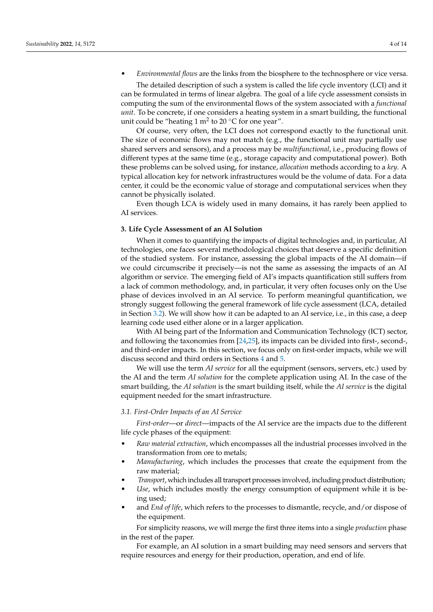• *Environmental flows* are the links from the biosphere to the technosphere or vice versa.

The detailed description of such a system is called the life cycle inventory (LCI) and it can be formulated in terms of linear algebra. The goal of a life cycle assessment consists in computing the sum of the environmental flows of the system associated with a *functional unit*. To be concrete, if one considers a heating system in a smart building, the functional unit could be "heating 1 m<sup>2</sup> to 20  $\mathrm{^{\circ}C}$  for one year".

Of course, very often, the LCI does not correspond exactly to the functional unit. The size of economic flows may not match (e.g., the functional unit may partially use shared servers and sensors), and a process may be *multifunctional*, i.e., producing flows of different types at the same time (e.g., storage capacity and computational power). Both these problems can be solved using, for instance, *allocation* methods according to a *key*. A typical allocation key for network infrastructures would be the volume of data. For a data center, it could be the economic value of storage and computational services when they cannot be physically isolated.

Even though LCA is widely used in many domains, it has rarely been applied to AI services.

#### <span id="page-3-0"></span>**3. Life Cycle Assessment of an AI Solution**

When it comes to quantifying the impacts of digital technologies and, in particular, AI technologies, one faces several methodological choices that deserve a specific definition of the studied system. For instance, assessing the global impacts of the AI domain—if we could circumscribe it precisely—is not the same as assessing the impacts of an AI algorithm or service. The emerging field of AI's impacts quantification still suffers from a lack of common methodology, and, in particular, it very often focuses only on the Use phase of devices involved in an AI service. To perform meaningful quantification, we strongly suggest following the general framework of life cycle assessment (LCA, detailed in Section [3.2\)](#page-4-0). We will show how it can be adapted to an AI service, i.e., in this case, a deep learning code used either alone or in a larger application.

With AI being part of the Information and Communication Technology (ICT) sector, and following the taxonomies from [\[24,](#page-12-20)[25\]](#page-12-21), its impacts can be divided into first-, second-, and third-order impacts. In this section, we focus only on first-order impacts, while we will discuss second and third orders in Sections [4](#page-7-0) and [5.](#page-10-0)

We will use the term *AI service* for all the equipment (sensors, servers, etc.) used by the AI and the term *AI solution* for the complete application using AI. In the case of the smart building, the *AI solution* is the smart building itself, while the *AI service* is the digital equipment needed for the smart infrastructure.

## *3.1. First-Order Impacts of an AI Service*

*First-order*—or *direct*—impacts of the AI service are the impacts due to the different life cycle phases of the equipment:

- *Raw material extraction*, which encompasses all the industrial processes involved in the transformation from ore to metals;
- *Manufacturing*, which includes the processes that create the equipment from the raw material;
- *Transport*, which includes all transport processes involved, including product distribution;
- *Use*, which includes mostly the energy consumption of equipment while it is being used;
- and *End of life*, which refers to the processes to dismantle, recycle, and/or dispose of the equipment.

For simplicity reasons, we will merge the first three items into a single *production* phase in the rest of the paper.

For example, an AI solution in a smart building may need sensors and servers that require resources and energy for their production, operation, and end of life.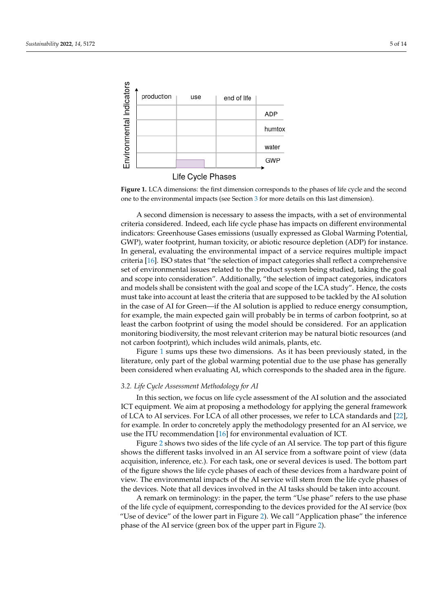<span id="page-4-1"></span>

Life Cycle Phases

**Figure 1.** LCA dimensions: the first dimension corresponds to the phases of life cycle and the second one to the environmental impacts (see Section [3](#page-3-0) for more details on this last dimension).

A second dimension is necessary to assess the impacts, with a set of environmental criteria considered. Indeed, each life cycle phase has impacts on different environmental indicators: Greenhouse Gases emissions (usually expressed as Global Warming Potential, GWP), water footprint, human toxicity, or abiotic resource depletion (ADP) for instance. In general, evaluating the environmental impact of a service requires multiple impact criteria [\[16\]](#page-12-12). ISO states that "the selection of impact categories shall reflect a comprehensive set of environmental issues related to the product system being studied, taking the goal and scope into consideration". Additionally, "the selection of impact categories, indicators and models shall be consistent with the goal and scope of the LCA study". Hence, the costs must take into account at least the criteria that are supposed to be tackled by the AI solution in the case of AI for Green—if the AI solution is applied to reduce energy consumption, for example, the main expected gain will probably be in terms of carbon footprint, so at least the carbon footprint of using the model should be considered. For an application monitoring biodiversity, the most relevant criterion may be natural biotic resources (and not carbon footprint), which includes wild animals, plants, etc.

Figure [1](#page-4-1) sums ups these two dimensions. As it has been previously stated, in the literature, only part of the global warming potential due to the use phase has generally been considered when evaluating AI, which corresponds to the shaded area in the figure.

### <span id="page-4-0"></span>*3.2. Life Cycle Assessment Methodology for AI*

In this section, we focus on life cycle assessment of the AI solution and the associated ICT equipment. We aim at proposing a methodology for applying the general framework of LCA to AI services. For LCA of all other processes, we refer to LCA standards and [\[22\]](#page-12-18), for example. In order to concretely apply the methodology presented for an AI service, we use the ITU recommendation [\[16\]](#page-12-12) for environmental evaluation of ICT.

Figure [2](#page-5-0) shows two sides of the life cycle of an AI service. The top part of this figure shows the different tasks involved in an AI service from a software point of view (data acquisition, inference, etc.). For each task, one or several devices is used. The bottom part of the figure shows the life cycle phases of each of these devices from a hardware point of view. The environmental impacts of the AI service will stem from the life cycle phases of the devices. Note that all devices involved in the AI tasks should be taken into account.

A remark on terminology: in the paper, the term "Use phase" refers to the use phase of the life cycle of equipment, corresponding to the devices provided for the AI service (box "Use of device" of the lower part in Figure [2\)](#page-5-0). We call "Application phase" the inference phase of the AI service (green box of the upper part in Figure [2\)](#page-5-0).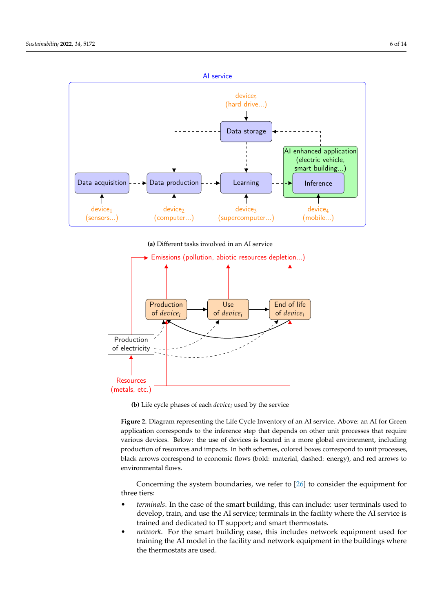<span id="page-5-0"></span>

**(a)** Different tasks involved in an AI service



**(b)** Life cycle phases of each *device<sup>i</sup>* used by the service

**Figure 2.** Diagram representing the Life Cycle Inventory of an AI service: Above: an AI for green **Figure 2.** Diagram representing the Life Cycle Inventory of an AI service. Above: an AI for Green  $\overline{a}$  application corresponds to the inference step that depends on other unit processes that require various devices. Below: the use of devices is located in a more global environment, including production of resources and impacts. In both schemes, colored boxes correspond to unit processes, black arrows correspond to economic flows (bold: material, dashed: energy), and red arrows to environmental flows. environmental flows.

Concerning the system boundaries, we refer to [26] to consider the equipment for Concerning the system boundaries, we refer to [\[26\]](#page-12-22) to consider the equipment for three tiers: three tiers:

- *terminals*. In the case of the smart building, this can include: user terminals used to *terminals*. In the case of the smart building, this can include: user terminals used to develop, train and use the AI service; terminals in the facility where the AI service is develop, train, and use the AI service; terminals in the facility where the AI service is trained dedicated to IT support; smart thermostats. trained and dedicated to IT support; and smart thermostats.
- *network*. For the smart building case, this includes network equipment used for model in the facility and network equipment in the buildings where training the AI model in the facility and network equipment in the buildings where are used. the thermostats are used.ere are *determined* and server.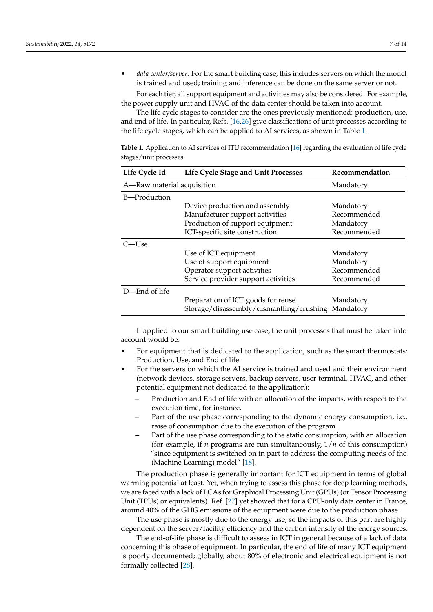• *data center/server*. For the smart building case, this includes servers on which the model is trained and used; training and inference can be done on the same server or not.

For each tier, all support equipment and activities may also be considered. For example, the power supply unit and HVAC of the data center should be taken into account.

The life cycle stages to consider are the ones previously mentioned: production, use, and end of life. In particular, Refs. [\[16,](#page-12-12)[26\]](#page-12-22) give classifications of unit processes according to the life cycle stages, which can be applied to AI services, as shown in Table [1.](#page-6-0)

<span id="page-6-0"></span>**Table 1.** Application to AI services of ITU recommendation [\[16\]](#page-12-12) regarding the evaluation of life cycle stages/unit processes.

| Life Cycle Id              | Life Cycle Stage and Unit Processes                | Recommendation |
|----------------------------|----------------------------------------------------|----------------|
| A-Raw material acquisition |                                                    | Mandatory      |
| B—Production               |                                                    |                |
|                            | Device production and assembly                     | Mandatory      |
|                            | Manufacturer support activities                    | Recommended    |
|                            | Production of support equipment                    | Mandatory      |
|                            | ICT-specific site construction                     | Recommended    |
| C—Use                      |                                                    |                |
|                            | Use of ICT equipment                               | Mandatory      |
|                            | Use of support equipment                           | Mandatory      |
|                            | Operator support activities                        | Recommended    |
|                            | Service provider support activities                | Recommended    |
| D-End of life              |                                                    |                |
|                            | Preparation of ICT goods for reuse                 | Mandatory      |
|                            | Storage/disassembly/dismantling/crushing Mandatory |                |

If applied to our smart building use case, the unit processes that must be taken into account would be:

- For equipment that is dedicated to the application, such as the smart thermostats: Production, Use, and End of life.
- For the servers on which the AI service is trained and used and their environment (network devices, storage servers, backup servers, user terminal, HVAC, and other potential equipment not dedicated to the application):
	- **–** Production and End of life with an allocation of the impacts, with respect to the execution time, for instance.
	- **–** Part of the use phase corresponding to the dynamic energy consumption, i.e., raise of consumption due to the execution of the program.
	- **–** Part of the use phase corresponding to the static consumption, with an allocation (for example, if *n* programs are run simultaneously, 1/*n* of this consumption) "since equipment is switched on in part to address the computing needs of the (Machine Learning) model" [\[18\]](#page-12-14).

The production phase is generally important for ICT equipment in terms of global warming potential at least. Yet, when trying to assess this phase for deep learning methods, we are faced with a lack of LCAs for Graphical Processing Unit (GPUs) (or Tensor Processing Unit (TPUs) or equivalents). Ref. [\[27\]](#page-13-0) yet showed that for a CPU-only data center in France, around 40% of the GHG emissions of the equipment were due to the production phase.

The use phase is mostly due to the energy use, so the impacts of this part are highly dependent on the server/facility efficiency and the carbon intensity of the energy sources.

The end-of-life phase is difficult to assess in ICT in general because of a lack of data concerning this phase of equipment. In particular, the end of life of many ICT equipment is poorly documented; globally, about 80% of electronic and electrical equipment is not formally collected [\[28\]](#page-13-1).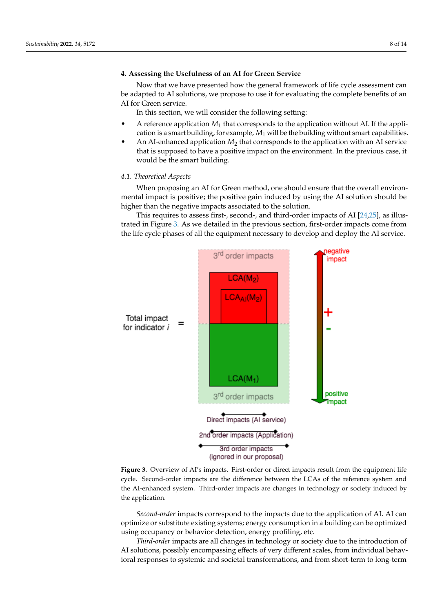### <span id="page-7-0"></span>**4. Assessing the Usefulness of an AI for Green Service**

Now that we have presented how the general framework of life cycle assessment can be adapted to AI solutions, we propose to use it for evaluating the complete benefits of an AI for Green service.

In this section, we will consider the following setting:

- A reference application *M*<sup>1</sup> that corresponds to the application without AI. If the application is a smart building, for example, *M*<sup>1</sup> will be the building without smart capabilities.
- An AI-enhanced application *M*<sup>2</sup> that corresponds to the application with an AI service that is supposed to have a positive impact on the environment. In the previous case, it would be the smart building.

#### *4.1. Theoretical Aspects*

When proposing an AI for Green method, one should ensure that the overall environmental impact is positive; the positive gain induced by using the AI solution should be higher than the negative impacts associated to the solution.

This requires to assess first-, second-, and third-order impacts of AI [\[24,](#page-12-20)[25\]](#page-12-21), as illustrated in Figure [3.](#page-7-1) As we detailed in the previous section, first-order impacts come from the life cycle phases of all the equipment necessary to develop and deploy the AI service.

<span id="page-7-1"></span>

Figure 3. Overview of AI's impacts. First-order or direct impacts result from the equipment life cycle. Second-order impacts are the difference between the LCAs of the reference system and the AI-enhanced system. Third-order impacts are changes in technology or society induced by the application.

*Second-order* impacts correspond to the impacts due to the application of AI. AI can optimize or substitute existing systems; energy consumption in a building can be optimized using occupancy or behavior detection, energy profiling, etc.

*Third-order* impacts are all changes in technology or society due to the introduction of AI solutions, possibly encompassing effects of very different scales, from individual behavioral responses to systemic and societal transformations, and from short-term to long-term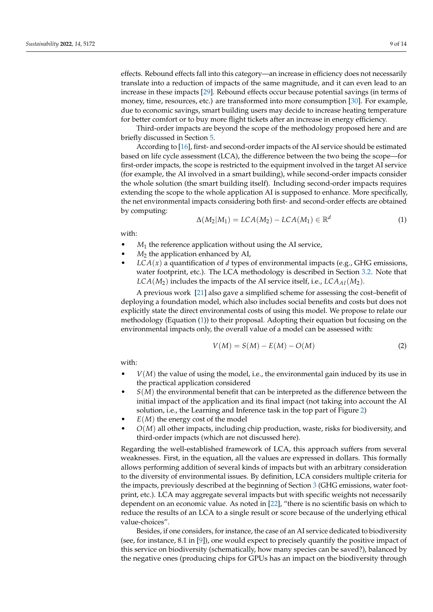effects. Rebound effects fall into this category—an increase in efficiency does not necessarily translate into a reduction of impacts of the same magnitude, and it can even lead to an increase in these impacts [\[29\]](#page-13-2). Rebound effects occur because potential savings (in terms of money, time, resources, etc.) are transformed into more consumption [\[30\]](#page-13-3). For example, due to economic savings, smart building users may decide to increase heating temperature for better comfort or to buy more flight tickets after an increase in energy efficiency.

Third-order impacts are beyond the scope of the methodology proposed here and are briefly discussed in Section [5.](#page-10-0)

According to [\[16\]](#page-12-12), first- and second-order impacts of the AI service should be estimated based on life cycle assessment (LCA), the difference between the two being the scope—for first-order impacts, the scope is restricted to the equipment involved in the target AI service (for example, the AI involved in a smart building), while second-order impacts consider the whole solution (the smart building itself). Including second-order impacts requires extending the scope to the whole application AI is supposed to enhance. More specifically, the net environmental impacts considering both first- and second-order effects are obtained by computing:

<span id="page-8-0"></span>
$$
\Delta(M_2|M_1) = LCA(M_2) - LCA(M_1) \in \mathbb{R}^d \tag{1}
$$

with:

- $M_1$  the reference application without using the AI service,
- *M*<sup>2</sup> the application enhanced by AI,
- *LCA*(*x*) a quantification of *d* types of environmental impacts (e.g., GHG emissions, water footprint, etc.). The LCA methodology is described in Section [3.2.](#page-4-0) Note that  $LCA(M_2)$  includes the impacts of the AI service itself, i.e.,  $LCA_{AI}(M_2)$ .

A previous work [\[21\]](#page-12-17) also gave a simplified scheme for assessing the cost–benefit of deploying a foundation model, which also includes social benefits and costs but does not explicitly state the direct environmental costs of using this model. We propose to relate our methodology (Equation [\(1\)](#page-8-0)) to their proposal. Adopting their equation but focusing on the environmental impacts only, the overall value of a model can be assessed with:

<span id="page-8-1"></span>
$$
V(M) = S(M) - E(M) - O(M)
$$
 (2)

with:

- $V(M)$  the value of using the model, i.e., the environmental gain induced by its use in the practical application considered
- $S(M)$  the environmental benefit that can be interpreted as the difference between the initial impact of the application and its final impact (not taking into account the AI solution, i.e., the Learning and Inference task in the top part of Figure [2\)](#page-5-0)
- $E(M)$  the energy cost of the model
- *O*(*M*) all other impacts, including chip production, waste, risks for biodiversity, and third-order impacts (which are not discussed here).

Regarding the well-established framework of LCA, this approach suffers from several weaknesses. First, in the equation, all the values are expressed in dollars. This formally allows performing addition of several kinds of impacts but with an arbitrary consideration to the diversity of environmental issues. By definition, LCA considers multiple criteria for the impacts, previously described at the beginning of Section [3](#page-3-0) (GHG emissions, water footprint, etc.). LCA may aggregate several impacts but with specific weights not necessarily dependent on an economic value. As noted in [\[22\]](#page-12-18), "there is no scientific basis on which to reduce the results of an LCA to a single result or score because of the underlying ethical value-choices".

Besides, if one considers, for instance, the case of an AI service dedicated to biodiversity (see, for instance, 8.1 in  $[9]$ ), one would expect to precisely quantify the positive impact of this service on biodiversity (schematically, how many species can be saved?), balanced by the negative ones (producing chips for GPUs has an impact on the biodiversity through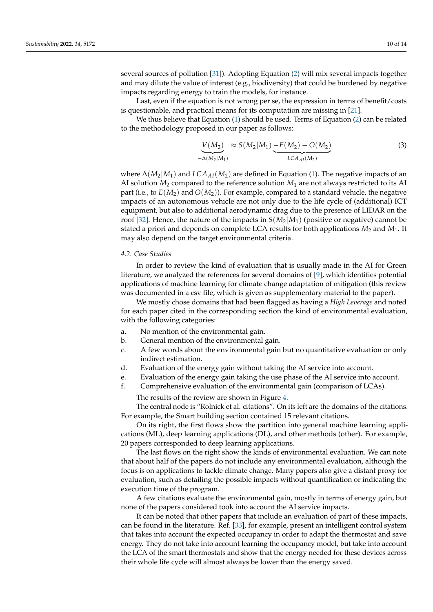several sources of pollution [\[31\]](#page-13-4)). Adopting Equation [\(2\)](#page-8-1) will mix several impacts together and may dilute the value of interest (e.g., biodiversity) that could be burdened by negative impacts regarding energy to train the models, for instance.

Last, even if the equation is not wrong per se, the expression in terms of benefit/costs is questionable, and practical means for its computation are missing in [\[21\]](#page-12-17).

We thus believe that Equation [\(1\)](#page-8-0) should be used. Terms of Equation [\(2\)](#page-8-1) can be related to the methodology proposed in our paper as follows:

$$
\underbrace{V(M_2)}_{-\Delta(M_2|M_1)} \approx S(M_2|M_1) \underbrace{-E(M_2) - O(M_2)}_{LCA_{\Lambda I}(M_2)} \tag{3}
$$

where ∆(*M*2|*M*1) and *LCAAI*(*M*2) are defined in Equation [\(1\)](#page-8-0). The negative impacts of an AI solution  $M_2$  compared to the reference solution  $M_1$  are not always restricted to its AI part (i.e., to  $E(M_2)$  and  $O(M_2)$ ). For example, compared to a standard vehicle, the negative impacts of an autonomous vehicle are not only due to the life cycle of (additional) ICT equipment, but also to additional aerodynamic drag due to the presence of LIDAR on the roof [\[32\]](#page-13-5). Hence, the nature of the impacts in  $S(M_2|M_1)$  (positive or negative) cannot be stated a priori and depends on complete LCA results for both applications  $M_2$  and  $M_1$ . It may also depend on the target environmental criteria.

#### *4.2. Case Studies*

In order to review the kind of evaluation that is usually made in the AI for Green literature, we analyzed the references for several domains of [\[9\]](#page-12-4), which identifies potential applications of machine learning for climate change adaptation of mitigation (this review was documented in a csv file, which is given as supplementary material to the paper).

We mostly chose domains that had been flagged as having a *High Leverage* and noted for each paper cited in the corresponding section the kind of environmental evaluation, with the following categories:

- a. No mention of the environmental gain.
- b. General mention of the environmental gain.
- c. A few words about the environmental gain but no quantitative evaluation or only indirect estimation.
- d. Evaluation of the energy gain without taking the AI service into account.
- e. Evaluation of the energy gain taking the use phase of the AI service into account.
- f. Comprehensive evaluation of the environmental gain (comparison of LCAs).

The results of the review are shown in Figure [4.](#page-10-1)

The central node is "Rolnick et al. citations". On its left are the domains of the citations. For example, the Smart building section contained 15 relevant citations.

On its right, the first flows show the partition into general machine learning applications (ML), deep learning applications (DL), and other methods (other). For example, 20 papers corresponded to deep learning applications.

The last flows on the right show the kinds of environmental evaluation. We can note that about half of the papers do not include any environmental evaluation, although the focus is on applications to tackle climate change. Many papers also give a distant proxy for evaluation, such as detailing the possible impacts without quantification or indicating the execution time of the program.

A few citations evaluate the environmental gain, mostly in terms of energy gain, but none of the papers considered took into account the AI service impacts.

It can be noted that other papers that include an evaluation of part of these impacts, can be found in the literature. Ref. [\[33\]](#page-13-6), for example, present an intelligent control system that takes into account the expected occupancy in order to adapt the thermostat and save energy. They do not take into account learning the occupancy model, but take into account the LCA of the smart thermostats and show that the energy needed for these devices across their whole life cycle will almost always be lower than the energy saved.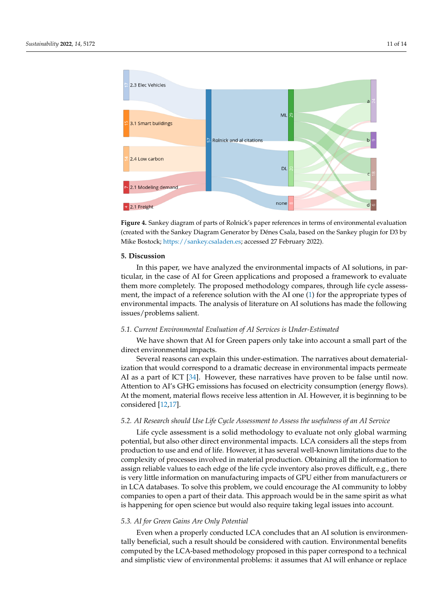<span id="page-10-1"></span>

**Figure 4.** Sankey diagram of parts of Rolnick's paper references in terms of environmental evaluation (created with the Sankey Diagram Generator by Dénes Csala, based on the Sankey plugin for D3 by Mike Bostock; [https://sankey.csaladen.es;](https://sankey.csaladen.es) accessed 27 February 2022).

#### <span id="page-10-0"></span>**5. Discussion**

In this paper, we have analyzed the environmental impacts of AI solutions, in particular, in the case of AI for Green applications and proposed a framework to evaluate them more completely. The proposed methodology compares, through life cycle assessment, the impact of a reference solution with the AI one [\(1\)](#page-8-0) for the appropriate types of environmental impacts. The analysis of literature on AI solutions has made the following issues/problems salient.

## *5.1. Current Environmental Evaluation of AI Services is Under-Estimated*

We have shown that AI for Green papers only take into account a small part of the direct environmental impacts.

Several reasons can explain this under-estimation. The narratives about dematerialization that would correspond to a dramatic decrease in environmental impacts permeate AI as a part of ICT [\[34\]](#page-13-7). However, these narratives have proven to be false until now. Attention to AI's GHG emissions has focused on electricity consumption (energy flows). At the moment, material flows receive less attention in AI. However, it is beginning to be considered [\[12](#page-12-6)[,17\]](#page-12-13).

#### *5.2. AI Research should Use Life Cycle Assessment to Assess the usefulness of an AI Service*

Life cycle assessment is a solid methodology to evaluate not only global warming potential, but also other direct environmental impacts. LCA considers all the steps from production to use and end of life. However, it has several well-known limitations due to the complexity of processes involved in material production. Obtaining all the information to assign reliable values to each edge of the life cycle inventory also proves difficult, e.g., there is very little information on manufacturing impacts of GPU either from manufacturers or in LCA databases. To solve this problem, we could encourage the AI community to lobby companies to open a part of their data. This approach would be in the same spirit as what is happening for open science but would also require taking legal issues into account.

#### *5.3. AI for Green Gains Are Only Potential*

Even when a properly conducted LCA concludes that an AI solution is environmentally beneficial, such a result should be considered with caution. Environmental benefits computed by the LCA-based methodology proposed in this paper correspond to a technical and simplistic view of environmental problems: it assumes that AI will enhance or replace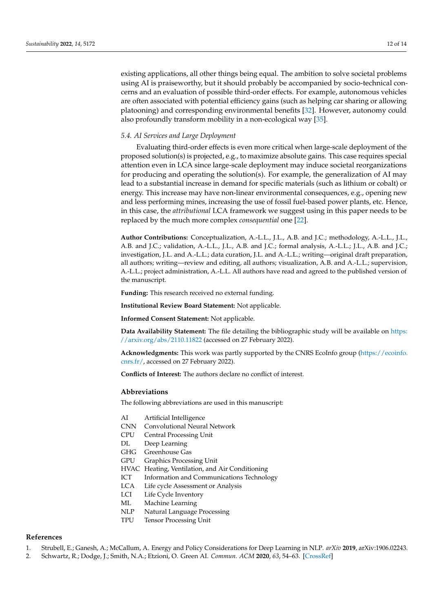existing applications, all other things being equal. The ambition to solve societal problems using AI is praiseworthy, but it should probably be accompanied by socio-technical concerns and an evaluation of possible third-order effects. For example, autonomous vehicles are often associated with potential efficiency gains (such as helping car sharing or allowing platooning) and corresponding environmental benefits [\[32\]](#page-13-5). However, autonomy could also profoundly transform mobility in a non-ecological way [\[35\]](#page-13-8).

### *5.4. AI Services and Large Deployment*

Evaluating third-order effects is even more critical when large-scale deployment of the proposed solution(s) is projected, e.g., to maximize absolute gains. This case requires special attention even in LCA since large-scale deployment may induce societal reorganizations for producing and operating the solution(s). For example, the generalization of AI may lead to a substantial increase in demand for specific materials (such as lithium or cobalt) or energy. This increase may have non-linear environmental consequences, e.g., opening new and less performing mines, increasing the use of fossil fuel-based power plants, etc. Hence, in this case, the *attributional* LCA framework we suggest using in this paper needs to be replaced by the much more complex *consequential* one [\[22\]](#page-12-18).

**Author Contributions:** Conceptualization, A.-L.L., J.L., A.B. and J.C.; methodology, A.-L.L., J.L., A.B. and J.C.; validation, A.-L.L., J.L., A.B. and J.C.; formal analysis, A.-L.L.; J.L., A.B. and J.C.; investigation, J.L. and A.-L.L.; data curation, J.L. and A.-L.L.; writing—original draft preparation, all authors; writing—review and editing, all authors; visualization, A.B. and A.-L.L.; supervision, A.-L.L.; project administration, A.-L.L. All authors have read and agreed to the published version of the manuscript.

**Funding:** This research received no external funding.

**Institutional Review Board Statement:** Not applicable.

**Informed Consent Statement:** Not applicable.

**Data Availability Statement:** The file detailing the bibliographic study will be available on [https:](https://arxiv.org/abs/2110.11822) [//arxiv.org/abs/2110.11822](https://arxiv.org/abs/2110.11822) (accessed on 27 February 2022).

**Acknowledgments:** This work was partly supported by the CNRS EcoInfo group [\(https://ecoinfo.](https://ecoinfo.cnrs.fr/) [cnrs.fr/,](https://ecoinfo.cnrs.fr/) accessed on 27 February 2022).

**Conflicts of Interest:** The authors declare no conflict of interest.

#### **Abbreviations**

The following abbreviations are used in this manuscript:

- AI Artificial Intelligence
- CNN Convolutional Neural Network
- CPU Central Processing Unit
- DL Deep Learning
- GHG Greenhouse Gas
- GPU Graphics Processing Unit
- HVAC Heating, Ventilation, and Air Conditioning
- ICT Information and Communications Technology
- LCA Life cycle Assessment or Analysis
- LCI Life Cycle Inventory
- ML Machine Learning
- NLP Natural Language Processing
- TPU Tensor Processing Unit

#### **References**

- <span id="page-11-0"></span>1. Strubell, E.; Ganesh, A.; McCallum, A. Energy and Policy Considerations for Deep Learning in NLP. *arXiv* **2019**, arXiv:1906.02243.
- <span id="page-11-1"></span>2. Schwartz, R.; Dodge, J.; Smith, N.A.; Etzioni, O. Green AI. *Commun. ACM* **2020**, *63*, 54–63. [\[CrossRef\]](http://doi.org/10.1145/3381831)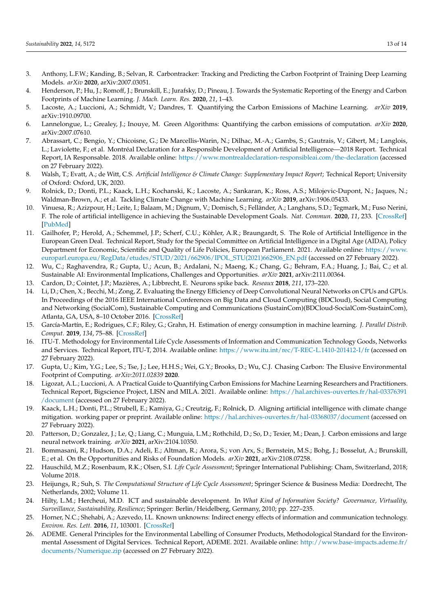- <span id="page-12-0"></span>3. Anthony, L.F.W.; Kanding, B.; Selvan, R. Carbontracker: Tracking and Predicting the Carbon Footprint of Training Deep Learning Models. *arXiv* **2020**, arXiv:2007.03051.
- <span id="page-12-10"></span>4. Henderson, P.; Hu, J.; Romoff, J.; Brunskill, E.; Jurafsky, D.; Pineau, J. Towards the Systematic Reporting of the Energy and Carbon Footprints of Machine Learning. *J. Mach. Learn. Res.* **2020**, *21*, 1–43.
- <span id="page-12-11"></span>5. Lacoste, A.; Luccioni, A.; Schmidt, V.; Dandres, T. Quantifying the Carbon Emissions of Machine Learning. *arXiv* **2019**, arXiv:1910.09700.
- <span id="page-12-1"></span>6. Lannelongue, L.; Grealey, J.; Inouye, M. Green Algorithms: Quantifying the carbon emissions of computation. *arXiv* **2020**, arXiv:2007.07610.
- <span id="page-12-2"></span>7. Abrassart, C.; Bengio, Y.; Chicoisne, G.; De Marcellis-Warin, N.; Dilhac, M.-A.; Gambs, S.; Gautrais, V.; Gibert, M.; Langlois, L.; Laviolette, F.; et al. Montréal Declaration for a Responsible Development of Artificial Intelligence—2018 Report. Technical Report, IA Responsable. 2018. Available online: <https://www.montrealdeclaration-responsibleai.com/the-declaration> (accessed on 27 February 2022).
- <span id="page-12-3"></span>8. Walsh, T.; Evatt, A.; de Witt, C.S. *Artificial Intelligence & Climate Change: Supplementary Impact Report*; Technical Report; University of Oxford: Oxford, UK, 2020.
- <span id="page-12-4"></span>9. Rolnick, D.; Donti, P.L.; Kaack, L.H.; Kochanski, K.; Lacoste, A.; Sankaran, K.; Ross, A.S.; Milojevic-Dupont, N.; Jaques, N.; Waldman-Brown, A.; et al. Tackling Climate Change with Machine Learning. *arXiv* **2019**, arXiv:1906.05433.
- 10. Vinuesa, R.; Azizpour, H.; Leite, I.; Balaam, M.; Dignum, V.; Domisch, S.; Felländer, A.; Langhans, S.D.; Tegmark, M.; Fuso Nerini, F. The role of artificial intelligence in achieving the Sustainable Development Goals. *Nat. Commun.* **2020**, *11*, 233. [\[CrossRef\]](http://dx.doi.org/10.1038/s41467-019-14108-y) [\[PubMed\]](http://www.ncbi.nlm.nih.gov/pubmed/31932590)
- <span id="page-12-5"></span>11. Gailhofer, P.; Herold, A.; Schemmel, J.P.; Scherf, C.U.; Köhler, A.R.; Braungardt, S. The Role of Artificial Intelligence in the European Green Deal. Technical Report, Study for the Special Committee on Artificial Intelligence in a Digital Age (AIDA), Policy Department for Economic, Scientific and Quality of Life Policies, European Parliament. 2021. Available online: [https://www.](https://www.europarl.europa.eu/RegData/etudes/STUD/2021/662906/IPOL_STU(2021)662906_EN.pdf) [europarl.europa.eu/RegData/etudes/STUD/2021/662906/IPOL\\_STU\(2021\)662906\\_EN.pdf](https://www.europarl.europa.eu/RegData/etudes/STUD/2021/662906/IPOL_STU(2021)662906_EN.pdf) (accessed on 27 February 2022).
- <span id="page-12-6"></span>12. Wu, C.; Raghavendra, R.; Gupta, U.; Acun, B.; Ardalani, N.; Maeng, K.; Chang, G.; Behram, F.A.; Huang, J.; Bai, C.; et al. Sustainable AI: Environmental Implications, Challenges and Opportunities. *arXiv* **2021**, arXiv:2111.00364.
- <span id="page-12-7"></span>13. Cardon, D.; Cointet, J.P.; Mazières, A.; Libbrecht, E. Neurons spike back. *Reseaux* **2018**, *211*, 173–220.
- <span id="page-12-8"></span>14. Li, D.; Chen, X.; Becchi, M.; Zong, Z. Evaluating the Energy Efficiency of Deep Convolutional Neural Networks on CPUs and GPUs. In Proceedings of the 2016 IEEE International Conferences on Big Data and Cloud Computing (BDCloud), Social Computing and Networking (SocialCom), Sustainable Computing and Communications (SustainCom)(BDCloud-SocialCom-SustainCom), Atlanta, GA, USA, 8–10 October 2016. [\[CrossRef\]](http://dx.doi.org/10.1109/BDCloud-SocialCom-SustainCom.2016.76)
- <span id="page-12-9"></span>15. García-Martín, E.; Rodrigues, C.F.; Riley, G.; Grahn, H. Estimation of energy consumption in machine learning. *J. Parallel Distrib. Comput.* **2019**, *134*, 75–88. [\[CrossRef\]](http://dx.doi.org/10.1016/j.jpdc.2019.07.007)
- <span id="page-12-12"></span>16. ITU-T. Methodology for Environmental Life Cycle Assessments of Information and Communication Technology Goods, Networks and Services. Technical Report, ITU-T, 2014. Available online: <https://www.itu.int/rec/T-REC-L.1410-201412-I/fr> (accessed on 27 February 2022).
- <span id="page-12-13"></span>17. Gupta, U.; Kim, Y.G.; Lee, S.; Tse, J.; Lee, H.H.S.; Wei, G.Y.; Brooks, D.; Wu, C.J. Chasing Carbon: The Elusive Environmental Footprint of Computing. *arXiv:2011.02839* **2020**.
- <span id="page-12-14"></span>18. Ligozat, A.L.; Luccioni, A. A Practical Guide to Quantifying Carbon Emissions for Machine Learning Researchers and Practitioners. Technical Report, Bigscience Project, LISN and MILA. 2021. Available online: [https://hal.archives-ouvertes.fr/hal-03376391](https://hal.archives-ouvertes.fr/hal-03376391/document) [/document](https://hal.archives-ouvertes.fr/hal-03376391/document) (accessed on 27 February 2022).
- <span id="page-12-15"></span>19. Kaack, L.H.; Donti, P.L.; Strubell, E.; Kamiya, G.; Creutzig, F.; Rolnick, D. Aligning artificial intelligence with climate change mitigation. working paper or preprint. Available online: <https://hal.archives-ouvertes.fr/hal-03368037/document> (accessed on 27 February 2022).
- <span id="page-12-16"></span>20. Patterson, D.; Gonzalez, J.; Le, Q.; Liang, C.; Munguia, L.M.; Rothchild, D.; So, D.; Texier, M.; Dean, J. Carbon emissions and large neural network training. *arXiv* **2021**, arXiv:2104.10350.
- <span id="page-12-17"></span>21. Bommasani, R.; Hudson, D.A.; Adeli, E.; Altman, R.; Arora, S.; von Arx, S.; Bernstein, M.S.; Bohg, J.; Bosselut, A.; Brunskill, E.; et al. On the Opportunities and Risks of Foundation Models. *arXiv* **2021**, arXiv:2108.07258.
- <span id="page-12-18"></span>22. Hauschild, M.Z.; Rosenbaum, R.K.; Olsen, S.I. *Life Cycle Assessment*; Springer International Publishing: Cham, Switzerland, 2018; Volume 2018.
- <span id="page-12-19"></span>23. Heijungs, R.; Suh, S. *The Computational Structure of Life Cycle Assessment*; Springer Science & Business Media: Dordrecht, The Netherlands, 2002; Volume 11.
- <span id="page-12-20"></span>24. Hilty, L.M.; Hercheui, M.D. ICT and sustainable development. In *What Kind of Information Society? Governance, Virtuality, Surveillance, Sustainability, Resilience*; Springer: Berlin/Heidelberg, Germany, 2010; pp. 227–235.
- <span id="page-12-21"></span>25. Horner, N.C.; Shehabi, A.; Azevedo, I.L. Known unknowns: Indirect energy effects of information and communication technology. *Environ. Res. Lett.* **2016**, *11*, 103001. [\[CrossRef\]](http://dx.doi.org/10.1088/1748-9326/11/10/103001)
- <span id="page-12-22"></span>26. ADEME. General Principles for the Environmental Labelling of Consumer Products, Methodological Standard for the Environmental Assessment of Digital Services. Technical Report, ADEME. 2021. Available online: [http://www.base-impacts.ademe.fr/](http://www.base-impacts.ademe.fr/documents/Numerique.zip) [documents/Numerique.zip](http://www.base-impacts.ademe.fr/documents/Numerique.zip) (accessed on 27 February 2022).